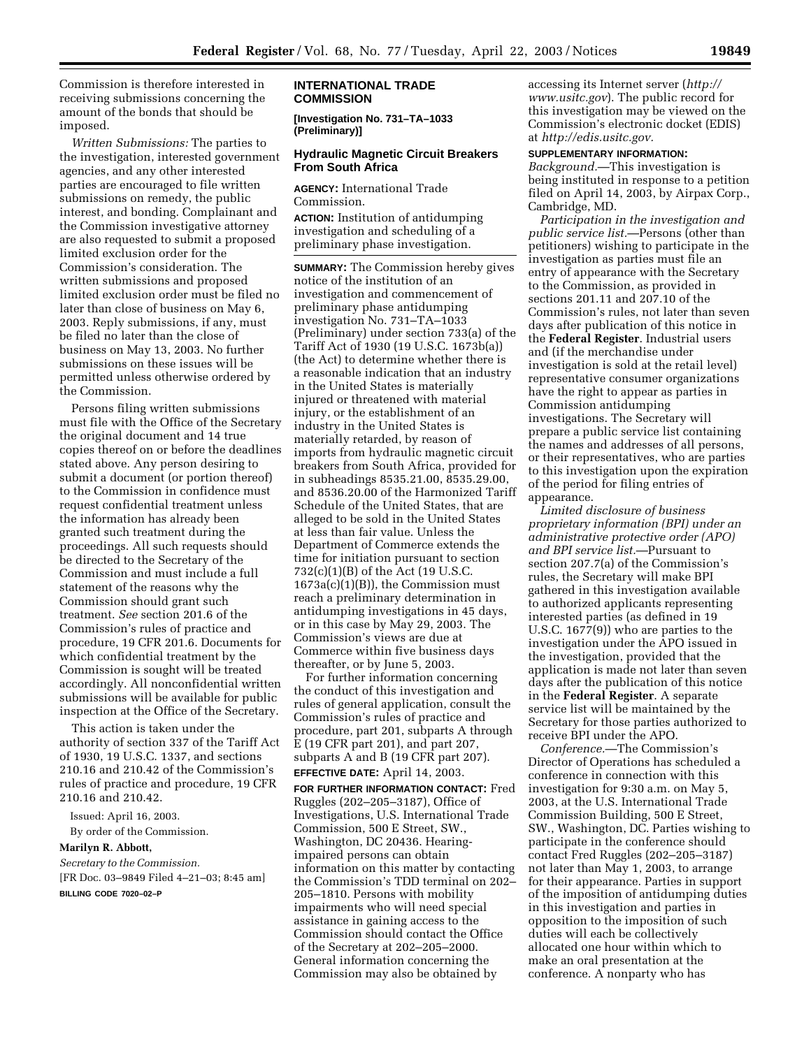Commission is therefore interested in receiving submissions concerning the amount of the bonds that should be imposed.

*Written Submissions:* The parties to the investigation, interested government agencies, and any other interested parties are encouraged to file written submissions on remedy, the public interest, and bonding. Complainant and the Commission investigative attorney are also requested to submit a proposed limited exclusion order for the Commission's consideration. The written submissions and proposed limited exclusion order must be filed no later than close of business on May 6, 2003. Reply submissions, if any, must be filed no later than the close of business on May 13, 2003. No further submissions on these issues will be permitted unless otherwise ordered by the Commission.

Persons filing written submissions must file with the Office of the Secretary the original document and 14 true copies thereof on or before the deadlines stated above. Any person desiring to submit a document (or portion thereof) to the Commission in confidence must request confidential treatment unless the information has already been granted such treatment during the proceedings. All such requests should be directed to the Secretary of the Commission and must include a full statement of the reasons why the Commission should grant such treatment. *See* section 201.6 of the Commission's rules of practice and procedure, 19 CFR 201.6. Documents for which confidential treatment by the Commission is sought will be treated accordingly. All nonconfidential written submissions will be available for public inspection at the Office of the Secretary.

This action is taken under the authority of section 337 of the Tariff Act of 1930, 19 U.S.C. 1337, and sections 210.16 and 210.42 of the Commission's rules of practice and procedure, 19 CFR 210.16 and 210.42.

Issued: April 16, 2003.

By order of the Commission.

#### **Marilyn R. Abbott,**

*Secretary to the Commission.*

[FR Doc. 03–9849 Filed 4–21–03; 8:45 am] **BILLING CODE 7020–02–P**

#### **INTERNATIONAL TRADE COMMISSION**

**[Investigation No. 731–TA–1033 (Preliminary)]** 

#### **Hydraulic Magnetic Circuit Breakers From South Africa**

**AGENCY:** International Trade Commission.

**ACTION:** Institution of antidumping investigation and scheduling of a preliminary phase investigation.

**SUMMARY:** The Commission hereby gives notice of the institution of an investigation and commencement of preliminary phase antidumping investigation No. 731–TA–1033 (Preliminary) under section 733(a) of the Tariff Act of 1930 (19 U.S.C. 1673b(a)) (the Act) to determine whether there is a reasonable indication that an industry in the United States is materially injured or threatened with material injury, or the establishment of an industry in the United States is materially retarded, by reason of imports from hydraulic magnetic circuit breakers from South Africa, provided for in subheadings 8535.21.00, 8535.29.00, and 8536.20.00 of the Harmonized Tariff Schedule of the United States, that are alleged to be sold in the United States at less than fair value. Unless the Department of Commerce extends the time for initiation pursuant to section 732(c)(1)(B) of the Act (19 U.S.C. 1673a(c)(1)(B)), the Commission must reach a preliminary determination in antidumping investigations in 45 days, or in this case by May 29, 2003. The Commission's views are due at Commerce within five business days thereafter, or by June 5, 2003.

For further information concerning the conduct of this investigation and rules of general application, consult the Commission's rules of practice and procedure, part 201, subparts A through E (19 CFR part 201), and part 207, subparts A and B (19 CFR part 207).

# **EFFECTIVE DATE:** April 14, 2003.

**FOR FURTHER INFORMATION CONTACT:** Fred Ruggles (202–205–3187), Office of Investigations, U.S. International Trade Commission, 500 E Street, SW., Washington, DC 20436. Hearingimpaired persons can obtain information on this matter by contacting the Commission's TDD terminal on 202– 205–1810. Persons with mobility impairments who will need special assistance in gaining access to the Commission should contact the Office of the Secretary at 202–205–2000. General information concerning the Commission may also be obtained by

accessing its Internet server (*http:// www.usitc.gov*). The public record for this investigation may be viewed on the Commission's electronic docket (EDIS) at *http://edis.usitc.gov.*

# **SUPPLEMENTARY INFORMATION:**

*Background.*—This investigation is being instituted in response to a petition filed on April 14, 2003, by Airpax Corp., Cambridge, MD.

*Participation in the investigation and public service list.*—Persons (other than petitioners) wishing to participate in the investigation as parties must file an entry of appearance with the Secretary to the Commission, as provided in sections 201.11 and 207.10 of the Commission's rules, not later than seven days after publication of this notice in the **Federal Register**. Industrial users and (if the merchandise under investigation is sold at the retail level) representative consumer organizations have the right to appear as parties in Commission antidumping investigations. The Secretary will prepare a public service list containing the names and addresses of all persons, or their representatives, who are parties to this investigation upon the expiration of the period for filing entries of appearance.

*Limited disclosure of business proprietary information (BPI) under an administrative protective order (APO) and BPI service list.*—Pursuant to section 207.7(a) of the Commission's rules, the Secretary will make BPI gathered in this investigation available to authorized applicants representing interested parties (as defined in 19 U.S.C. 1677(9)) who are parties to the investigation under the APO issued in the investigation, provided that the application is made not later than seven days after the publication of this notice in the **Federal Register**. A separate service list will be maintained by the Secretary for those parties authorized to receive BPI under the APO.

*Conference.*—The Commission's Director of Operations has scheduled a conference in connection with this investigation for 9:30 a.m. on May 5, 2003, at the U.S. International Trade Commission Building, 500 E Street, SW., Washington, DC. Parties wishing to participate in the conference should contact Fred Ruggles (202–205–3187) not later than May 1, 2003, to arrange for their appearance. Parties in support of the imposition of antidumping duties in this investigation and parties in opposition to the imposition of such duties will each be collectively allocated one hour within which to make an oral presentation at the conference. A nonparty who has